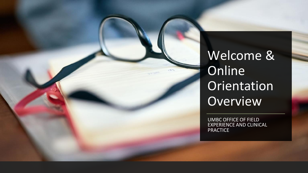

Welcome & **Online** Orientation Overview

UMBC OFFICE OF FIELD EXPERIENCE AND CLINICAL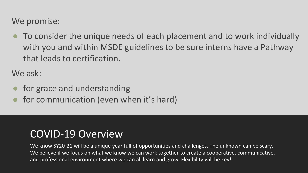We promise:

To consider the unique needs of each placement and to work individually with you and within MSDE guidelines to be sure interns have a Pathway that leads to certification.

We ask:

- for grace and understanding
- for communication (even when it's hard)

### COVID-19 Overview

We know SY20-21 will be a unique year full of opportunities and challenges. The unknown can be scary. We believe if we focus on what we know we can work together to create a cooperative, communicative, and professional environment where we can all learn and grow. Flexibility will be key!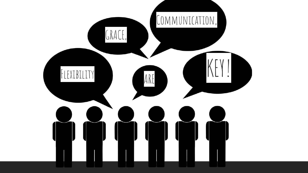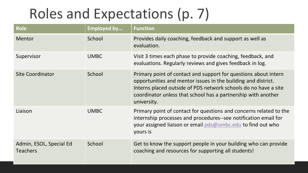# Roles and Expectations (p. 7)

| <b>Role</b>                                | <b>Employed by</b> | <b>Function</b>                                                                                                                                                                                                                                                                     |  |
|--------------------------------------------|--------------------|-------------------------------------------------------------------------------------------------------------------------------------------------------------------------------------------------------------------------------------------------------------------------------------|--|
| Mentor                                     | School             | Provides daily coaching, feedback and support as well as<br>evaluation.                                                                                                                                                                                                             |  |
| Supervisor                                 | <b>UMBC</b>        | Visit 3 times each phase to provide coaching, feedback, and<br>evaluations. Regularly reviews and gives feedback in log.                                                                                                                                                            |  |
| <b>Site Coordinator</b>                    | School             | Primary point of contact and support for questions about intern<br>opportunities and mentor issues in the building and district.<br>Interns placed outside of PDS network schools do no have a site<br>coordinator unless that school has a partnership with another<br>university. |  |
| Liaison                                    | <b>UMBC</b>        | Primary point of contact for questions and concerns related to the<br>internship processes and procedures--see notification email for<br>your assigned liaison or email pds@umbc.edu to find out who<br>yours is                                                                    |  |
| Admin, ESOL, Special Ed<br><b>Teachers</b> | School             | Get to know the support people in your building who can provide<br>coaching and resources for supporting all students!                                                                                                                                                              |  |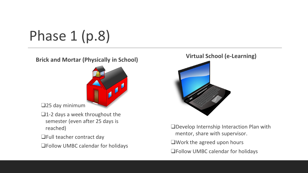Phase 1 (p.8)

#### **Brick and Mortar (Physically in School)**



❑25 day minimum

- ❑1-2 days a week throughout the semester (even after 25 days is reached)
- ❑Full teacher contract day
- ❑Follow UMBC calendar for holidays

#### **Virtual School (e-Learning)**



❑Develop Internship Interaction Plan with mentor, share with supervisor. ❑Work the agreed upon hours

❑Follow UMBC calendar for holidays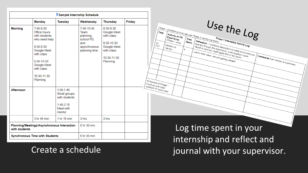| Sample Internship Schedule                           |                                                                                                                                                                               |                                                                                                   |                                                                                       |                                                                                                              |               |
|------------------------------------------------------|-------------------------------------------------------------------------------------------------------------------------------------------------------------------------------|---------------------------------------------------------------------------------------------------|---------------------------------------------------------------------------------------|--------------------------------------------------------------------------------------------------------------|---------------|
|                                                      | Monday                                                                                                                                                                        | <b>Tuesday</b>                                                                                    | Wednesday                                                                             | <b>Thursday</b>                                                                                              | <b>Friday</b> |
| <b>Morning</b>                                       | $7:45-8:30$<br>Office hours<br>with students<br>who need help<br>8:30-9:30<br>Google Meet<br>with class<br>9:30-10:30<br>Google Meet<br>with class<br>10:30-11:30<br>Planning |                                                                                                   | 7:45-10:45<br>Team<br>planning,<br>school PD,<br>and<br>asynchronous<br>planning time | 8:30-9:30<br>Google Meet<br>with class<br>9:30-10:30<br>Google Meet<br>with class<br>10:30-11:30<br>Planning |               |
| Afternoon                                            | 3 hr 45 min                                                                                                                                                                   | $1:00-1:45$<br>Small groups<br>with students<br>$1:45-2:15$<br>Meet with<br>mentor<br>1 hr 15 min | 3 hrs                                                                                 | 3 hrs                                                                                                        |               |
| with students                                        | Planning/Meetings/Asynchronous Interaction                                                                                                                                    |                                                                                                   | 5 hr 30 min                                                                           |                                                                                                              |               |
| 5 hr 30 min<br><b>Synchronous Time with Students</b> |                                                                                                                                                                               |                                                                                                   |                                                                                       |                                                                                                              |               |

Create a schedule

journal with your supervisor.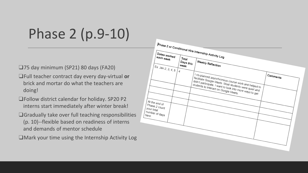# Phase 2 (p.9-10)

❑75 day minimum (SP21) 80 days (FA20)

- ❑Full teacher contract day every day-virtual **or** brick and mortar do what the teachers are doing!
- ❑Follow district calendar for holiday. SP20 P2 interns start immediately after winter break!
- ❑Gradually take over full teaching responsibilities (p. 10)--flexible based on readiness of interns and demands of mentor schedule
- ❑Mark your time using the Internship Activity Log

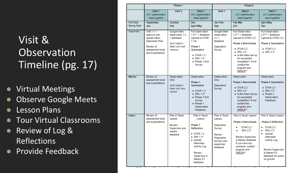## Visit & **Observation** Timeline (pg. 17)

- Virtual Meetings
- Observe Google Meets
- Lesson Plans
- Tour Virtual Classrooms
- Review of Log & Reflections
- Provide Feedback

|                            |                                                                                                                               | Phase 1                                                                                      |                                                                                                                                                                                          | Phase 2                                                                                                           |                                                                                                                                                                                                                                              |                                                                                                                                                                                                       |
|----------------------------|-------------------------------------------------------------------------------------------------------------------------------|----------------------------------------------------------------------------------------------|------------------------------------------------------------------------------------------------------------------------------------------------------------------------------------------|-------------------------------------------------------------------------------------------------------------------|----------------------------------------------------------------------------------------------------------------------------------------------------------------------------------------------------------------------------------------------|-------------------------------------------------------------------------------------------------------------------------------------------------------------------------------------------------------|
|                            | Visit 1<br>All 3 stakeholders<br>meet together                                                                                | Visit 2                                                                                      | Visit 3<br>All 3 stakeholders<br>meet together                                                                                                                                           | Visit 1                                                                                                           | Visit 2<br>All 3 stakeholders<br>meet together.                                                                                                                                                                                              | Visit 3<br>All 3 stakeholders<br>meet together                                                                                                                                                        |
| Fall Start<br>Spring Start | September<br>Jan                                                                                                              | October<br>Feb                                                                               | <b>Dec</b><br>April-May                                                                                                                                                                  | Jan-Feb<br>Sep                                                                                                    | Feb-Mar<br>Oct                                                                                                                                                                                                                               | April-May<br><b>Dec</b>                                                                                                                                                                               |
| Supervisor                 | Visit $11 +$<br>approve and<br>upload Intern<br>Interaction Plan<br>Review of<br>assessment tools<br>and expectations         | Google Meet<br>observation 1.2<br>+ feedback<br>Split rotation:<br>Meet with both<br>mentors | Full observation<br>$1.3*** + feedback$<br>(upload to STAR<br>1.34)<br>Phase 1<br>Summative<br>$\bullet$ STAR 1.3<br>$\bullet$ SPA 1.3*<br>· Phase 1 Exit<br>Survey                      | Google Meet<br>observation<br>$21+$<br>feedback<br>Disposition<br>Survey                                          | Full Observation<br>$2.2*** + feedback$<br>(upload to STAR 2.2)<br>Phase 2 Benchmark<br>$\bullet$ STAR 2.2<br>$\bullet$ SPA 2.2*<br>• Is the intern set up<br>for successful<br>completion? If not.<br>contact the<br>program and<br>QEECP** | Full Observation<br>$2.3*** + feedback$<br>(upload to STAR 2.3)<br>Phase 2 Summative<br>$\bullet$ STAR 2.3<br>$\bullet$ SPA 2.3*                                                                      |
| Mentor                     | Review of<br>assessment tools<br>and expectations                                                                             | Observation<br>Only<br>Split rotation:<br>Meet with new<br>mentor                            | Observation<br>Phase 1<br>Summative<br>$\bullet$ STAR 1.3<br>$\bullet$ SPA 1.3*<br>· Phase 1 Exit<br>Survey<br>· Phase 1<br>Observation<br>Feedback                                      | Observation<br>Only<br>Disposition<br>Survey                                                                      | Observation<br>Phase 2 Benchmark<br>$\bullet$ STAR 2.2<br>$\bullet$ SPA 2.2*<br>• Is the intern set up<br>for successful<br>completion? If not.<br>contact the<br>program and<br>QEECR**                                                     | Observation<br>Phase 2 Summative<br>$\bullet$ STAR 2.3<br>$\bullet$ SPA 2.3*<br>$\bullet$ Phase 2<br>Observation<br>Feedback                                                                          |
| Intern                     | Plan & Teach<br>Review of<br>assessment tools<br>Lesson<br>and expectations<br>Review<br>Supervisor and<br>mentor<br>feedback |                                                                                              | Plan & Teach<br>Lesson<br>Phase 1<br>Reflection<br>$\bullet$ STAR 1.3<br>$\bullet$ SPA 1.3*<br>· Upload<br>Internship<br>Activity Log<br>Review<br>Supervisor &<br>Mentor P1<br>feedback | Plan & Teach<br>Lesson<br>Disposition<br>Survey<br>Review<br>Disposition<br>surveys and<br>supervisor<br>feedback | Plan & Teach Lesson<br>Phase 2 Benchmark<br>STAR 2.2<br>SPA 2.2*<br>Review Supervisor<br>& Mentor feedback.<br>If you have any<br>concerns, contact<br>program and<br>QFECP**.                                                               | Plan & Teach Lesson<br>Phase 2 Reflection<br>STAR 2.3<br>٠<br>SPA 2.3*<br>$\bullet$<br>· Upload<br>Internship<br>Activity Log<br>Review Supervisor<br>& Mentor P2<br>feedback for areas<br>for growth |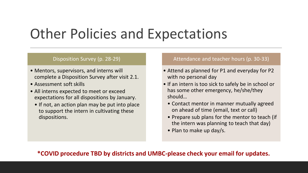## Other Policies and Expectations

#### Disposition Survey (p. 28-29)

- Mentors, supervisors, and interns will complete a Disposition Survey after visit 2.1.
- Assessment soft skills
- All interns expected to meet or exceed expectations for all dispositions by January.
	- If not, an action plan may be put into place to support the intern in cultivating these dispositions.

#### Attendance and teacher hours (p. 30-33)

- Attend as planned for P1 and everyday for P2 with no personal day
- If an intern is too sick to safely be in school or has some other emergency, he/she/they should…
	- Contact mentor in manner mutually agreed on ahead of time (email, text or call)
	- Prepare sub plans for the mentor to teach (if the intern was planning to teach that day)
	- Plan to make up day/s.

#### **\*COVID procedure TBD by districts and UMBC-please check your email for updates.**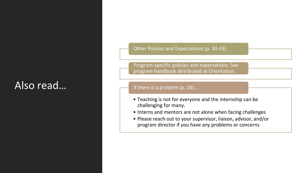## Also read…

Other Policies and Expectations (p. 30-33)

Program-specific policies and expectations: See program handbook distributed at Orientation.

#### If there is a problem (p. 26)...

- Teaching is not for everyone and the internship can be challenging for many.
- Interns and mentors are not alone when facing challenges
- Please reach out to your supervisor, liaison, advisor, and/or program director if you have any problems or concerns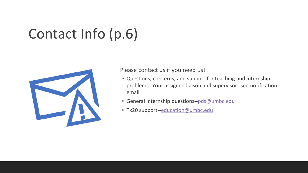# Contact Info (p.6)



Please contact us if you need us!

- Questions, concerns, and support for teaching and internship problems--Your assigned liaison and supervisor--see notification email
- General internship questions--[pds@umbc.edu](mailto:support--pds@umbc.edu)
- Tk20 support--[education@umbc.edu](mailto:education@umbc.edu)